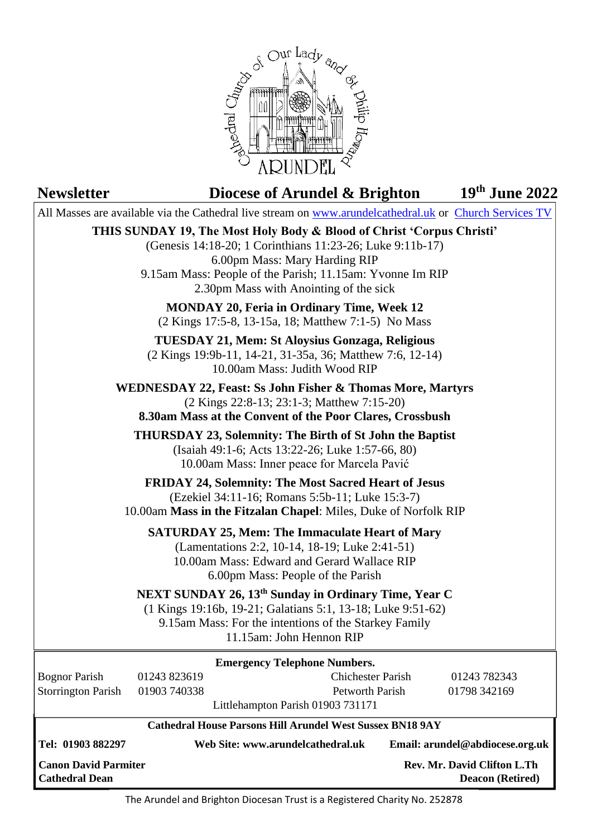

# **Newsletter Diocese of Arundel & Brighton th June 2022** All Masses are available via the Cathedral live stream on [www.arundelcathedral.uk](http://www.arundelcathedral.uk/) or [Church Services TV](https://www.churchservices.tv/arundel) **THIS SUNDAY 19, The Most Holy Body & Blood of Christ 'Corpus Christi'** (Genesis [14:18-20;](https://bible.usccb.org/bible/genesis/14?18) 1 [Corinthians](https://bible.usccb.org/bible/1corinthians/11?23) 11:23-26; Luke [9:11b-17\)](https://bible.usccb.org/bible/luke/9?11) 6.00pm Mass: Mary Harding RIP 9.15am Mass: People of the Parish; 11.15am: Yvonne Im RIP 2.30pm Mass with Anointing of the sick **MONDAY 20, Feria in Ordinary Time, Week 12** (2 Kings 17:5-8, [13-15a,](https://bible.usccb.org/bible/2kings/17?5) 18; [Matthew](https://bible.usccb.org/bible/matthew/7?1) 7:1-5) No Mass **TUESDAY 21, Mem: St Aloysius Gonzaga, Religious** (2 Kings [19:9b-11,](https://bible.usccb.org/bible/2kings/19?9) 14-21, 31-35a, 36; [Matthew](https://bible.usccb.org/bible/matthew/7?6) 7:6, 12-14) 10.00am Mass: Judith Wood RIP **WEDNESDAY 22, Feast: Ss John Fisher & Thomas More, Martyrs** (2 Kings [22:8-13;](https://bible.usccb.org/bible/2kings/22?8) 23:1-3; [Matthew](https://bible.usccb.org/bible/matthew/7?15) 7:15-20) **8.30am Mass at the Convent of the Poor Clares, Crossbush THURSDAY 23, Solemnity: The Birth of St John the Baptist** (Isaiah [49:1-6;](https://bible.usccb.org/bible/isaiah/49?1) Acts [13:22-26;](https://bible.usccb.org/bible/acts/13?22) Luke [1:57-66,](https://bible.usccb.org/bible/luke/1?57) 80) 10.00am Mass: Inner peace for Marcela Pavić **FRIDAY 24, Solemnity: The Most Sacred Heart of Jesus** (Ezekiel [34:11-16;](https://bible.usccb.org/bible/Ezekiel/34?11) [Romans](https://bible.usccb.org/bible/romans/5?5) 5:5b-11; Luke [15:3-7\)](https://bible.usccb.org/bible/luke/15?3) 10.00am **Mass in the Fitzalan Chapel**: Miles, Duke of Norfolk RIP **SATURDAY 25, Mem: The Immaculate Heart of Mary** [\(Lamentations](https://bible.usccb.org/bible/lamentations/2?2) 2:2, 10-14, 18-19; Luke [2:41-51\)](https://bible.usccb.org/bible/luke/2?41) 10.00am Mass: Edward and Gerard Wallace RIP 6.00pm Mass: People of the Parish **NEXT SUNDAY 26, 13th Sunday in Ordinary Time, Year C** (1 Kings [19:16b,](https://bible.usccb.org/bible/1kings/19?16) 19-21; [Galatians](https://bible.usccb.org/bible/galatians/5?1) 5:1, 13-18; Luke [9:51-62\)](https://bible.usccb.org/bible/luke/9?51) 9.15am Mass: For the intentions of the Starkey Family 11.15am: John Hennon RIP **Cathedral House Parsons Hill Arundel West Sussex BN18 9AY Tel: 01903 882297 Web Site: www.arundelcathedral.uk Email: arundel@abdiocese.org.uk Canon David Parmiter Canon David Parmiter Rev. According to Parmiter Rev. Mr. David Clifton L.Th Emergency Telephone Numbers.** Bognor Parish 01243 823619 Chichester Parish 01243 782343 Storrington Parish 01903 740338 Petworth Parish 01798 342169 Littlehampton Parish 01903 731171

 The Arundel and Brighton Diocesan Trust is a Registered Charity No. 252878

**Cathedral Dean Deacon (Retired)**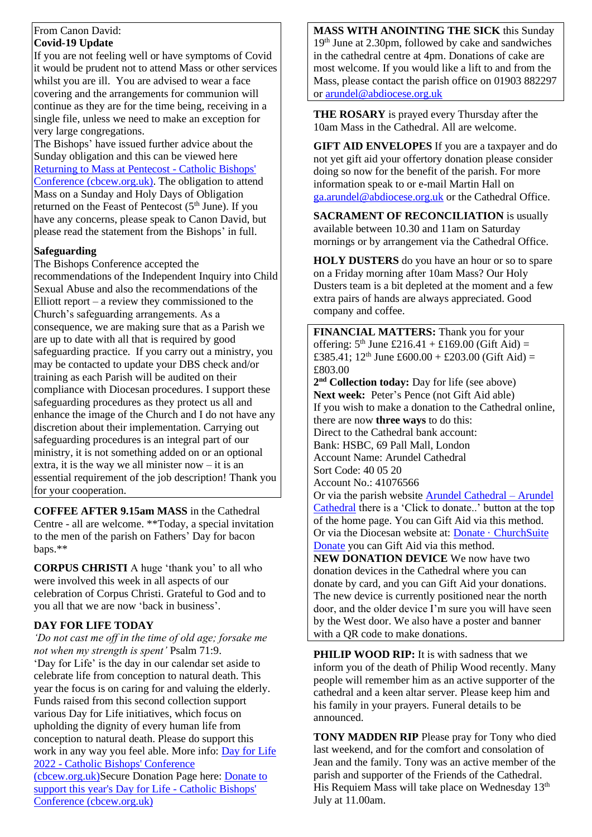#### From Canon David: **Covid-19 Update**

If you are not feeling well or have symptoms of Covid it would be prudent not to attend Mass or other services whilst you are ill. You are advised to wear a face covering and the arrangements for communion will continue as they are for the time being, receiving in a single file, unless we need to make an exception for very large congregations.

The Bishops' have issued further advice about the Sunday obligation and this can be viewed here [Returning to Mass at Pentecost -](https://www.cbcew.org.uk/spring-plenary-2022-resolution-returning-to-mass-at-pentecost/) Catholic Bishops' [Conference \(cbcew.org.uk\).](https://www.cbcew.org.uk/spring-plenary-2022-resolution-returning-to-mass-at-pentecost/) The obligation to attend Mass on a Sunday and Holy Days of Obligation returned on the Feast of Pentecost  $(5<sup>th</sup>$  June). If you have any concerns, please speak to Canon David, but please read the statement from the Bishops' in full.

## **Safeguarding**

The Bishops Conference accepted the recommendations of the Independent Inquiry into Child Sexual Abuse and also the recommendations of the Elliott report – a review they commissioned to the Church's safeguarding arrangements. As a consequence, we are making sure that as a Parish we are up to date with all that is required by good safeguarding practice. If you carry out a ministry, you may be contacted to update your DBS check and/or training as each Parish will be audited on their compliance with Diocesan procedures. I support these safeguarding procedures as they protect us all and enhance the image of the Church and I do not have any discretion about their implementation. Carrying out safeguarding procedures is an integral part of our ministry, it is not something added on or an optional extra, it is the way we all minister now  $-$  it is an essential requirement of the job description! Thank you for your cooperation.

**COFFEE AFTER 9.15am MASS** in the Cathedral Centre - all are welcome. \*\*Today, a special invitation to the men of the parish on Fathers' Day for bacon baps.\*\*

**CORPUS CHRISTI** A huge 'thank you' to all who were involved this week in all aspects of our celebration of Corpus Christi. Grateful to God and to you all that we are now 'back in business'.

## **DAY FOR LIFE TODAY**

*'Do not cast me off in the time of old age; forsake me not when my strength is spent'* Psalm 71:9.

'Day for Life' is the day in our calendar set aside to celebrate life from conception to natural death. This year the focus is on caring for and valuing the elderly. Funds raised from this second collection support various Day for Life initiatives, which focus on upholding the dignity of every human life from conception to natural death. Please do support this work in any way you feel able. More info: [Day for Life](https://www.cbcew.org.uk/dfl22/)  2022 - [Catholic Bishops' Conference](https://www.cbcew.org.uk/dfl22/) 

[\(cbcew.org.uk\)S](https://www.cbcew.org.uk/dfl22/)ecure Donation Page here: [Donate to](https://www.cbcew.org.uk/dfl22-donate/)  [support this year's Day for Life -](https://www.cbcew.org.uk/dfl22-donate/) Catholic Bishops' [Conference \(cbcew.org.uk\)](https://www.cbcew.org.uk/dfl22-donate/)

**MASS WITH ANOINTING THE SICK** this Sunday 19th June at 2.30pm, followed by cake and sandwiches in the cathedral centre at 4pm. Donations of cake are most welcome. If you would like a lift to and from the Mass, please contact the parish office on 01903 882297 or [arundel@abdiocese.org.uk](mailto:arundel@abdiocese.org.uk)

**THE ROSARY** is prayed every Thursday after the 10am Mass in the Cathedral. All are welcome.

**GIFT AID ENVELOPES** If you are a taxpayer and do not yet gift aid your offertory donation please consider doing so now for the benefit of the parish. For more information speak to or e-mail Martin Hall on [ga.arundel@abdiocese.org.uk](mailto:ga.arundel@abdiocese.org.uk) or the Cathedral Office.

**SACRAMENT OF RECONCILIATION** is usually available between 10.30 and 11am on Saturday mornings or by arrangement via the Cathedral Office.

**HOLY DUSTERS** do you have an hour or so to spare on a Friday morning after 10am Mass? Our Holy Dusters team is a bit depleted at the moment and a few extra pairs of hands are always appreciated. Good company and coffee.

**FINANCIAL MATTERS:** Thank you for your offering:  $5<sup>th</sup>$  June £216.41 + £169.00 (Gift Aid) = £385.41; 12<sup>th</sup> June £600.00 + £203.00 (Gift Aid) = £803.00 **2 nd Collection today:** Day for life (see above) **Next week:** Peter's Pence (not Gift Aid able) If you wish to make a donation to the Cathedral online, there are now **three ways** to do this: Direct to the Cathedral bank account: Bank: HSBC, 69 Pall Mall, London Account Name: Arundel Cathedral Sort Code: 40 05 20 Account No.: 41076566 Or via the parish website [Arundel Cathedral –](https://arundelcathedral.uk/) Arundel [Cathedral](https://arundelcathedral.uk/) there is a 'Click to donate..' button at the top of the home page. You can Gift Aid via this method. Or via the Diocesan website at: [Donate · ChurchSuite](https://abdiocese.churchsuite.com/donate/)  [Donate](https://abdiocese.churchsuite.com/donate/) you can Gift Aid via this method. **NEW DONATION DEVICE** We now have two donation devices in the Cathedral where you can donate by card, and you can Gift Aid your donations. The new device is currently positioned near the north door, and the older device I'm sure you will have seen by the West door. We also have a poster and banner with a QR code to make donations.

**PHILIP WOOD RIP:** It is with sadness that we inform you of the death of Philip Wood recently. Many people will remember him as an active supporter of the cathedral and a keen altar server. Please keep him and his family in your prayers. Funeral details to be announced.

**TONY MADDEN RIP** Please pray for Tony who died last weekend, and for the comfort and consolation of Jean and the family. Tony was an active member of the parish and supporter of the Friends of the Cathedral. His Requiem Mass will take place on Wednesday 13<sup>th</sup> July at 11.00am.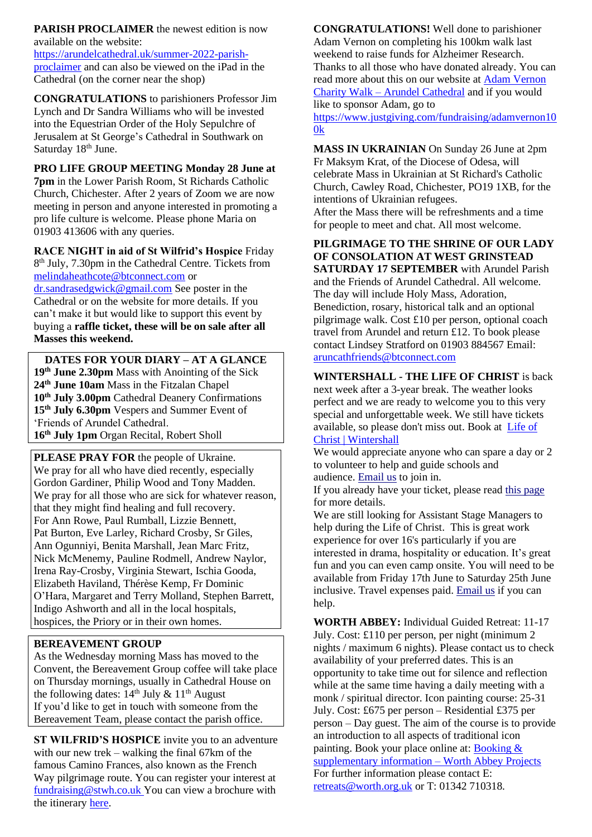**PARISH PROCLAIMER** the newest edition is now available on the website:

[https://arundelcathedral.uk/summer-2022-parish](https://eur02.safelinks.protection.outlook.com/?url=https%3A%2F%2Farundelcathedral.uk%2Fsummer-2022-parish-proclaimer&data=05%7C01%7Carundel%40abdiocese.org.uk%7C9eb43a30f58b4d6a1c6408da421b7092%7C2bf5dbc217ef4efca1c9ab2dc4edefd0%7C0%7C0%7C637894983064346048%7CUnknown%7CTWFpbGZsb3d8eyJWIjoiMC4wLjAwMDAiLCJQIjoiV2luMzIiLCJBTiI6Ik1haWwiLCJXVCI6Mn0%3D%7C3000%7C%7C%7C&sdata=RhzzmRGJzP%2B%2FzDLC50sUTNtXsrx0QzMqbIP3i%2FH7Hp8%3D&reserved=0)[proclaimer](https://eur02.safelinks.protection.outlook.com/?url=https%3A%2F%2Farundelcathedral.uk%2Fsummer-2022-parish-proclaimer&data=05%7C01%7Carundel%40abdiocese.org.uk%7C9eb43a30f58b4d6a1c6408da421b7092%7C2bf5dbc217ef4efca1c9ab2dc4edefd0%7C0%7C0%7C637894983064346048%7CUnknown%7CTWFpbGZsb3d8eyJWIjoiMC4wLjAwMDAiLCJQIjoiV2luMzIiLCJBTiI6Ik1haWwiLCJXVCI6Mn0%3D%7C3000%7C%7C%7C&sdata=RhzzmRGJzP%2B%2FzDLC50sUTNtXsrx0QzMqbIP3i%2FH7Hp8%3D&reserved=0) and can also be viewed on the iPad in the Cathedral (on the corner near the shop)

**CONGRATULATIONS** to parishioners Professor Jim Lynch and Dr Sandra Williams who will be invested into the Equestrian Order of the Holy Sepulchre of Jerusalem at St George's Cathedral in Southwark on Saturday 18<sup>th</sup> June.

**PRO LIFE GROUP MEETING Monday 28 June at** 

**7pm** in the Lower Parish Room, St Richards Catholic Church, Chichester. After 2 years of Zoom we are now meeting in person and anyone interested in promoting a pro life culture is welcome. Please phone Maria on 01903 413606 with any queries.

**RACE NIGHT in aid of St Wilfrid's Hospice** Friday 8<sup>th</sup> July, 7.30pm in the Cathedral Centre. Tickets from [melindaheathcote@btconnect.com](mailto:melindaheathcote@btconnect.com) or [dr.sandrasedgwick@gmail.com](mailto:dr.sandrasedgwick@gmail.com) See poster in the Cathedral or on the website for more details. If you can't make it but would like to support this event by buying a **raffle ticket, these will be on sale after all Masses this weekend.**

**DATES FOR YOUR DIARY – AT A GLANCE th June 2.30pm** Mass with Anointing of the Sick **th June 10am** Mass in the Fitzalan Chapel **th July 3.00pm** Cathedral Deanery Confirmations **th July 6.30pm** Vespers and Summer Event of 'Friends of Arundel Cathedral. **th July 1pm** Organ Recital, Robert Sholl

**PLEASE PRAY FOR** the people of Ukraine. We pray for all who have died recently, especially Gordon Gardiner, Philip Wood and Tony Madden. We pray for all those who are sick for whatever reason, that they might find healing and full recovery. For Ann Rowe, Paul Rumball, Lizzie Bennett, Pat Burton, Eve Larley, Richard Crosby, Sr Giles, Ann Ogunniyi, Benita Marshall, Jean Marc Fritz, Nick McMenemy, Pauline Rodmell, Andrew Naylor, Irena Ray-Crosby, Virginia Stewart, Ischia Gooda, Elizabeth Haviland, Thérèse Kemp, Fr Dominic O'Hara, Margaret and Terry Molland, Stephen Barrett, Indigo Ashworth and all in the local hospitals, hospices, the Priory or in their own homes.

## **BEREAVEMENT GROUP**

As the Wednesday morning Mass has moved to the Convent, the Bereavement Group coffee will take place on Thursday mornings, usually in Cathedral House on the following dates:  $14^{th}$  July &  $11^{th}$  August If you'd like to get in touch with someone from the Bereavement Team, please contact the parish office.

**ST WILFRID'S HOSPICE** invite you to an adventure with our new trek – walking the final 67km of the famous Camino Frances, also known as the French Way pilgrimage route. You can register your interest at [fundraising@stwh.co.uk](mailto:fundraising@stwh.co.uk) You can view a brochure with the itinerary [here.](https://eur02.safelinks.protection.outlook.com/?url=http%3A%2F%2Fstwh.co.uk%2Fevents%2Fadventure-trek-camino-de-santiago-spain-4th-8th-october-2023%2F&data=05%7C01%7Carundel%40abdiocese.org.uk%7Cb224ee12858c4de3907408da39ac3414%7C2bf5dbc217ef4efca1c9ab2dc4edefd0%7C0%7C0%7C637885709017301287%7CUnknown%7CTWFpbGZsb3d8eyJWIjoiMC4wLjAwMDAiLCJQIjoiV2luMzIiLCJBTiI6Ik1haWwiLCJXVCI6Mn0%3D%7C1000%7C%7C%7C&sdata=KiF5yiyCRqMPW9ylfvKxdAtzHdQWRIUvGfKA8WM4EzI%3D&reserved=0)

**CONGRATULATIONS!** Well done to parishioner Adam Vernon on completing his 100km walk last weekend to raise funds for Alzheimer Research. Thanks to all those who have donated already. You can read more about this on our website at [Adam Vernon](https://arundelcathedral.uk/adam-vernon-charity-walk)  Charity Walk – [Arundel Cathedral](https://arundelcathedral.uk/adam-vernon-charity-walk) and if you would like to sponsor Adam, go to [https://www.justgiving.com/fundraising/adamvernon10](https://www.justgiving.com/fundraising/adamvernon100k) [0k](https://www.justgiving.com/fundraising/adamvernon100k)

**MASS IN UKRAINIAN** On Sunday 26 June at 2pm Fr Maksym Krat, of the Diocese of Odesa, will celebrate Mass in Ukrainian at St Richard's Catholic Church, Cawley Road, Chichester, PO19 1XB, for the intentions of Ukrainian refugees. After the Mass there will be refreshments and a time

for people to meet and chat. All most welcome.

**PILGRIMAGE TO THE SHRINE OF OUR LADY OF CONSOLATION AT WEST GRINSTEAD SATURDAY 17 SEPTEMBER** with Arundel Parish and the Friends of Arundel Cathedral. All welcome. The day will include Holy Mass, Adoration, Benediction, rosary, historical talk and an optional pilgrimage walk. Cost £10 per person, optional coach travel from Arundel and return £12. To book please contact Lindsey Stratford on 01903 884567 Email: [aruncathfriends@btconnect.com](mailto:aruncathfriends@btconnect.com)

**WINTERSHALL - THE LIFE OF CHRIST** is back next week after a 3-year break. The weather looks perfect and we are ready to welcome you to this very special and unforgettable week. We still have tickets available, so please don't miss out. Book at [Life of](https://www.wintershall.org.uk/life-christ-0)  [Christ | Wintershall](https://www.wintershall.org.uk/life-christ-0)

We would appreciate anyone who can spare a day or 2 to volunteer to help and guide schools and audience. [Email us](mailto:admin@wintershall.org.uk?subject=Join%20cast%2C%20volunteer%20or%20be%20an%20ASM) to join in.

If you already have your ticket, please read [this page](https://eur02.safelinks.protection.outlook.com/?url=https%3A%2F%2Fwintershall-estate.us11.list-manage.com%2Ftrack%2Fclick%3Fu%3D277e1253845c762df0180a661%26id%3D9dac8eea0d%26e%3D90263431a8&data=05%7C01%7Carundel%40abdiocese.org.uk%7C1c513dbd7f814ddcc19e08da4eb0b552%7C2bf5dbc217ef4efca1c9ab2dc4edefd0%7C0%7C0%7C637908818104876551%7CUnknown%7CTWFpbGZsb3d8eyJWIjoiMC4wLjAwMDAiLCJQIjoiV2luMzIiLCJBTiI6Ik1haWwiLCJXVCI6Mn0%3D%7C3000%7C%7C%7C&sdata=wi47nwPh2yjAWQOM4IdhPr6A1y2VYhBBdEn3fvbw0q8%3D&reserved=0) for more details.

We are still looking for Assistant Stage Managers to help during the Life of Christ. This is great work experience for over 16's particularly if you are interested in drama, hospitality or education. It's great fun and you can even camp onsite. You will need to be available from Friday 17th June to Saturday 25th June inclusive. Travel expenses paid. [Email us](mailto:admin@wintershall.org.uk?subject=I%20want%20to%20be%20an%20Assistant%20Stage%20Manager%20) if you can help.

**WORTH ABBEY:** Individual Guided Retreat: 11-17 July. Cost: £110 per person, per night (minimum 2 nights / maximum 6 nights). Please contact us to check availability of your preferred dates. This is an opportunity to take time out for silence and reflection while at the same time having a daily meeting with a monk / spiritual director. Icon painting course: 25-31 July. Cost: £675 per person – Residential £375 per person – Day guest. The aim of the course is to provide an introduction to all aspects of traditional icon painting. Book your place online at: [Booking &](https://worth.co.uk/retreats/booking-documents/)  [supplementary information –](https://worth.co.uk/retreats/booking-documents/) Worth Abbey Projects For further information please contact E: [retreats@worth.org.uk](mailto:retreats@worth.org.uk) or T: 01342 710318.